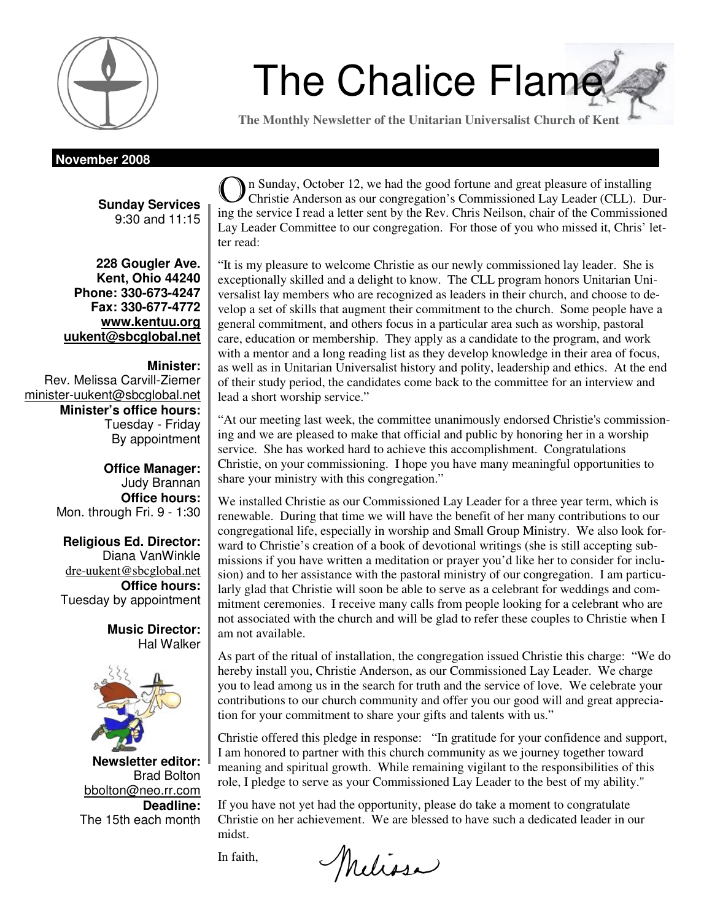

# The Chalice Flame

**The Monthly Newsletter of the Unitarian Universalist Church of Kent** 

**November 2008** 

**Sunday Services**  9:30 and 11:15

**228 Gougler Ave. Kent, Ohio 44240 Phone: 330-673-4247 Fax: 330-677-4772 www.kentuu.org uukent@sbcglobal.net**

## **Minister:**

Rev. Melissa Carvill-Ziemer minister-uukent@sbcglobal.net **Minister's office hours:**  Tuesday - Friday By appointment

> **Office Manager:** Judy Brannan **Office hours:** Mon. through Fri. 9 - 1:30

**Religious Ed. Director:**  Diana VanWinkle dre-uukent@sbcglobal.net **Office hours:**  Tuesday by appointment

> **Music Director:**  Hal Walker



**Newsletter editor:**  Brad Bolton bbolton@neo.rr.com **Deadline:**  The 15th each month

O n Sunday, October 12, we had the good fortune and great pleasure of installing Christie Anderson as our congregation's Commissioned Lay Leader (CLL). During the service I read a letter sent by the Rev. Chris Neilson, chair of the Commissioned Lay Leader Committee to our congregation. For those of you who missed it, Chris' letter read:

"It is my pleasure to welcome Christie as our newly commissioned lay leader. She is exceptionally skilled and a delight to know. The CLL program honors Unitarian Universalist lay members who are recognized as leaders in their church, and choose to develop a set of skills that augment their commitment to the church. Some people have a general commitment, and others focus in a particular area such as worship, pastoral care, education or membership. They apply as a candidate to the program, and work with a mentor and a long reading list as they develop knowledge in their area of focus, as well as in Unitarian Universalist history and polity, leadership and ethics. At the end of their study period, the candidates come back to the committee for an interview and lead a short worship service."

"At our meeting last week, the committee unanimously endorsed Christie's commissioning and we are pleased to make that official and public by honoring her in a worship service. She has worked hard to achieve this accomplishment. Congratulations Christie, on your commissioning. I hope you have many meaningful opportunities to share your ministry with this congregation."

We installed Christie as our Commissioned Lay Leader for a three year term, which is renewable. During that time we will have the benefit of her many contributions to our congregational life, especially in worship and Small Group Ministry. We also look forward to Christie's creation of a book of devotional writings (she is still accepting submissions if you have written a meditation or prayer you'd like her to consider for inclusion) and to her assistance with the pastoral ministry of our congregation. I am particularly glad that Christie will soon be able to serve as a celebrant for weddings and commitment ceremonies. I receive many calls from people looking for a celebrant who are not associated with the church and will be glad to refer these couples to Christie when I am not available.

As part of the ritual of installation, the congregation issued Christie this charge: "We do hereby install you, Christie Anderson, as our Commissioned Lay Leader. We charge you to lead among us in the search for truth and the service of love. We celebrate your contributions to our church community and offer you our good will and great appreciation for your commitment to share your gifts and talents with us."

Christie offered this pledge in response: "In gratitude for your confidence and support, I am honored to partner with this church community as we journey together toward meaning and spiritual growth. While remaining vigilant to the responsibilities of this role, I pledge to serve as your Commissioned Lay Leader to the best of my ability."

If you have not yet had the opportunity, please do take a moment to congratulate Christie on her achievement. We are blessed to have such a dedicated leader in our midst.

In faith,

Melissa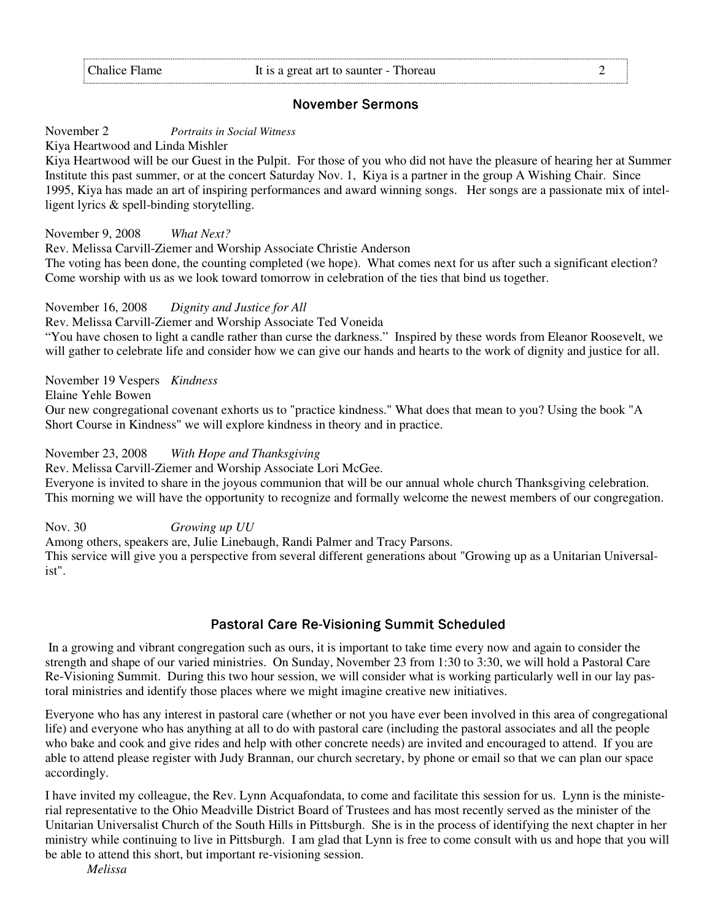# November Sermons

November 2 *Portraits in Social Witness* 

Kiya Heartwood and Linda Mishler

Kiya Heartwood will be our Guest in the Pulpit. For those of you who did not have the pleasure of hearing her at Summer Institute this past summer, or at the concert Saturday Nov. 1, Kiya is a partner in the group A Wishing Chair. Since 1995, Kiya has made an art of inspiring performances and award winning songs. Her songs are a passionate mix of intelligent lyrics & spell-binding storytelling.

November 9, 2008 *What Next?*

Rev. Melissa Carvill-Ziemer and Worship Associate Christie Anderson

The voting has been done, the counting completed (we hope). What comes next for us after such a significant election? Come worship with us as we look toward tomorrow in celebration of the ties that bind us together.

November 16, 2008 *Dignity and Justice for All* 

Rev. Melissa Carvill-Ziemer and Worship Associate Ted Voneida "You have chosen to light a candle rather than curse the darkness." Inspired by these words from Eleanor Roosevelt, we

will gather to celebrate life and consider how we can give our hands and hearts to the work of dignity and justice for all.

November 19 Vespers *Kindness*

Elaine Yehle Bowen

Our new congregational covenant exhorts us to "practice kindness." What does that mean to you? Using the book "A Short Course in Kindness" we will explore kindness in theory and in practice.

November 23, 2008 *With Hope and Thanksgiving* 

Rev. Melissa Carvill-Ziemer and Worship Associate Lori McGee.

Everyone is invited to share in the joyous communion that will be our annual whole church Thanksgiving celebration. This morning we will have the opportunity to recognize and formally welcome the newest members of our congregation.

Nov. 30 *Growing up UU*

Among others, speakers are, Julie Linebaugh, Randi Palmer and Tracy Parsons.

This service will give you a perspective from several different generations about "Growing up as a Unitarian Universalist".

# Pastoral Care Re-Visioning Summit Scheduled

 In a growing and vibrant congregation such as ours, it is important to take time every now and again to consider the strength and shape of our varied ministries. On Sunday, November 23 from 1:30 to 3:30, we will hold a Pastoral Care Re-Visioning Summit. During this two hour session, we will consider what is working particularly well in our lay pastoral ministries and identify those places where we might imagine creative new initiatives.

Everyone who has any interest in pastoral care (whether or not you have ever been involved in this area of congregational life) and everyone who has anything at all to do with pastoral care (including the pastoral associates and all the people who bake and cook and give rides and help with other concrete needs) are invited and encouraged to attend. If you are able to attend please register with Judy Brannan, our church secretary, by phone or email so that we can plan our space accordingly.

I have invited my colleague, the Rev. Lynn Acquafondata, to come and facilitate this session for us. Lynn is the ministerial representative to the Ohio Meadville District Board of Trustees and has most recently served as the minister of the Unitarian Universalist Church of the South Hills in Pittsburgh. She is in the process of identifying the next chapter in her ministry while continuing to live in Pittsburgh. I am glad that Lynn is free to come consult with us and hope that you will be able to attend this short, but important re-visioning session.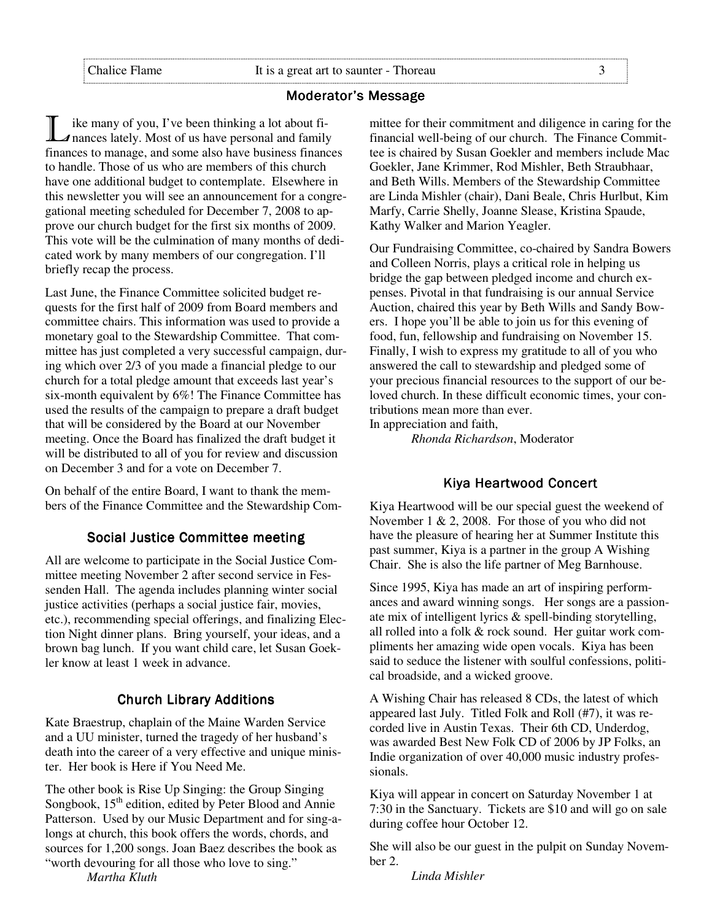## Moderator's Message

I ike many of you, I've been thinking a lot about fi-<br>
I nances lately. Most of us have personal and family finances to manage, and some also have business finances to handle. Those of us who are members of this church have one additional budget to contemplate. Elsewhere in this newsletter you will see an announcement for a congregational meeting scheduled for December 7, 2008 to approve our church budget for the first six months of 2009. This vote will be the culmination of many months of dedicated work by many members of our congregation. I'll briefly recap the process.

Last June, the Finance Committee solicited budget requests for the first half of 2009 from Board members and committee chairs. This information was used to provide a monetary goal to the Stewardship Committee. That committee has just completed a very successful campaign, during which over 2/3 of you made a financial pledge to our church for a total pledge amount that exceeds last year's six-month equivalent by 6%! The Finance Committee has used the results of the campaign to prepare a draft budget that will be considered by the Board at our November meeting. Once the Board has finalized the draft budget it will be distributed to all of you for review and discussion on December 3 and for a vote on December 7.

On behalf of the entire Board, I want to thank the members of the Finance Committee and the Stewardship Com-

# Social Justice Committee meeting

All are welcome to participate in the Social Justice Committee meeting November 2 after second service in Fessenden Hall. The agenda includes planning winter social justice activities (perhaps a social justice fair, movies, etc.), recommending special offerings, and finalizing Election Night dinner plans. Bring yourself, your ideas, and a brown bag lunch. If you want child care, let Susan Goekler know at least 1 week in advance.

# **Church Library Additions**

Kate Braestrup, chaplain of the Maine Warden Service and a UU minister, turned the tragedy of her husband's death into the career of a very effective and unique minister. Her book is Here if You Need Me.

The other book is Rise Up Singing: the Group Singing Songbook, 15<sup>th</sup> edition, edited by Peter Blood and Annie Patterson. Used by our Music Department and for sing-alongs at church, this book offers the words, chords, and sources for 1,200 songs. Joan Baez describes the book as "worth devouring for all those who love to sing."

*Martha Kluth* 

mittee for their commitment and diligence in caring for the financial well-being of our church. The Finance Committee is chaired by Susan Goekler and members include Mac Goekler, Jane Krimmer, Rod Mishler, Beth Straubhaar, and Beth Wills. Members of the Stewardship Committee are Linda Mishler (chair), Dani Beale, Chris Hurlbut, Kim Marfy, Carrie Shelly, Joanne Slease, Kristina Spaude, Kathy Walker and Marion Yeagler.

Our Fundraising Committee, co-chaired by Sandra Bowers and Colleen Norris, plays a critical role in helping us bridge the gap between pledged income and church expenses. Pivotal in that fundraising is our annual Service Auction, chaired this year by Beth Wills and Sandy Bowers. I hope you'll be able to join us for this evening of food, fun, fellowship and fundraising on November 15. Finally, I wish to express my gratitude to all of you who answered the call to stewardship and pledged some of your precious financial resources to the support of our beloved church. In these difficult economic times, your contributions mean more than ever.

In appreciation and faith,

*Rhonda Richardson*, Moderator

## Kiya Heartwood Concert

Kiya Heartwood will be our special guest the weekend of November 1 & 2, 2008. For those of you who did not have the pleasure of hearing her at Summer Institute this past summer, Kiya is a partner in the group A Wishing Chair. She is also the life partner of Meg Barnhouse.

Since 1995, Kiya has made an art of inspiring performances and award winning songs. Her songs are a passionate mix of intelligent lyrics & spell-binding storytelling, all rolled into a folk & rock sound. Her guitar work compliments her amazing wide open vocals. Kiya has been said to seduce the listener with soulful confessions, political broadside, and a wicked groove.

A Wishing Chair has released 8 CDs, the latest of which appeared last July. Titled Folk and Roll (#7), it was recorded live in Austin Texas. Their 6th CD, Underdog, was awarded Best New Folk CD of 2006 by JP Folks, an Indie organization of over 40,000 music industry professionals.

Kiya will appear in concert on Saturday November 1 at 7:30 in the Sanctuary. Tickets are \$10 and will go on sale during coffee hour October 12.

She will also be our guest in the pulpit on Sunday November 2.

*Linda Mishler*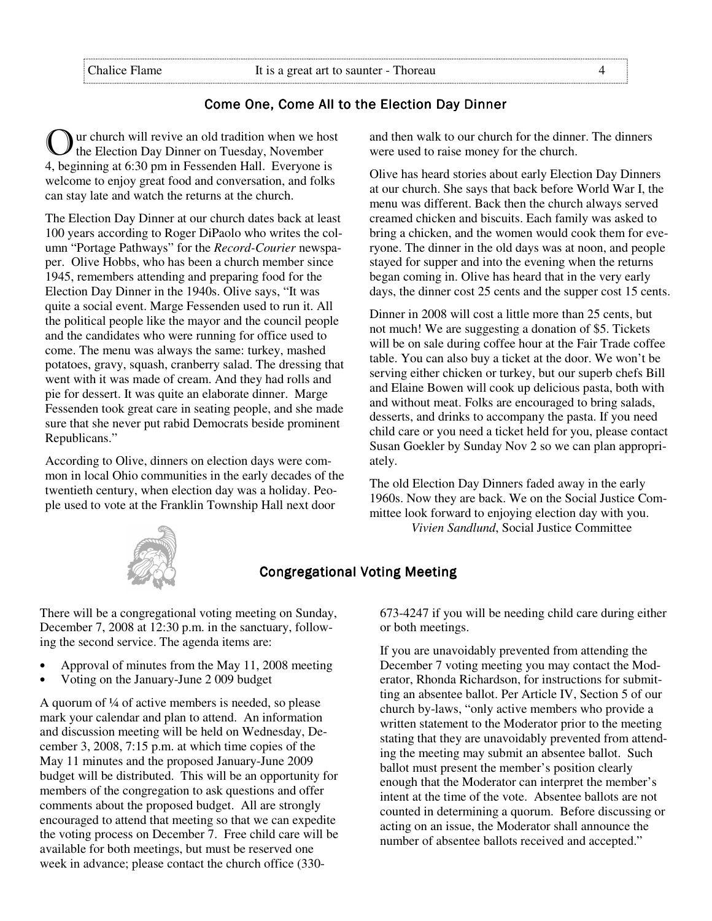# Come One, Come All to the Election Day Dinner

ur church will revive an old tradition when we host the Election Day Dinner on Tuesday, November 4, beginning at 6:30 pm in Fessenden Hall. Everyone is welcome to enjoy great food and conversation, and folks can stay late and watch the returns at the church.

The Election Day Dinner at our church dates back at least 100 years according to Roger DiPaolo who writes the column "Portage Pathways" for the *Record-Courier* newspaper. Olive Hobbs, who has been a church member since 1945, remembers attending and preparing food for the Election Day Dinner in the 1940s. Olive says, "It was quite a social event. Marge Fessenden used to run it. All the political people like the mayor and the council people and the candidates who were running for office used to come. The menu was always the same: turkey, mashed potatoes, gravy, squash, cranberry salad. The dressing that went with it was made of cream. And they had rolls and pie for dessert. It was quite an elaborate dinner. Marge Fessenden took great care in seating people, and she made sure that she never put rabid Democrats beside prominent Republicans."

According to Olive, dinners on election days were common in local Ohio communities in the early decades of the twentieth century, when election day was a holiday. People used to vote at the Franklin Township Hall next door

and then walk to our church for the dinner. The dinners were used to raise money for the church.

Olive has heard stories about early Election Day Dinners at our church. She says that back before World War I, the menu was different. Back then the church always served creamed chicken and biscuits. Each family was asked to bring a chicken, and the women would cook them for everyone. The dinner in the old days was at noon, and people stayed for supper and into the evening when the returns began coming in. Olive has heard that in the very early days, the dinner cost 25 cents and the supper cost 15 cents.

Dinner in 2008 will cost a little more than 25 cents, but not much! We are suggesting a donation of \$5. Tickets will be on sale during coffee hour at the Fair Trade coffee table. You can also buy a ticket at the door. We won't be serving either chicken or turkey, but our superb chefs Bill and Elaine Bowen will cook up delicious pasta, both with and without meat. Folks are encouraged to bring salads, desserts, and drinks to accompany the pasta. If you need child care or you need a ticket held for you, please contact Susan Goekler by Sunday Nov 2 so we can plan appropriately.

The old Election Day Dinners faded away in the early 1960s. Now they are back. We on the Social Justice Committee look forward to enjoying election day with you.  *Vivien Sandlund*, Social Justice Committee



# **Congregational Voting Meeting**

There will be a congregational voting meeting on Sunday, December 7, 2008 at 12:30 p.m. in the sanctuary, following the second service. The agenda items are:

- Approval of minutes from the May 11, 2008 meeting
- Voting on the January-June 2 009 budget

A quorum of  $\frac{1}{4}$  of active members is needed, so please mark your calendar and plan to attend. An information and discussion meeting will be held on Wednesday, December 3, 2008, 7:15 p.m. at which time copies of the May 11 minutes and the proposed January-June 2009 budget will be distributed. This will be an opportunity for members of the congregation to ask questions and offer comments about the proposed budget. All are strongly encouraged to attend that meeting so that we can expedite the voting process on December 7. Free child care will be available for both meetings, but must be reserved one week in advance; please contact the church office (330673-4247 if you will be needing child care during either or both meetings.

If you are unavoidably prevented from attending the December 7 voting meeting you may contact the Moderator, Rhonda Richardson, for instructions for submitting an absentee ballot. Per Article IV, Section 5 of our church by-laws, "only active members who provide a written statement to the Moderator prior to the meeting stating that they are unavoidably prevented from attending the meeting may submit an absentee ballot. Such ballot must present the member's position clearly enough that the Moderator can interpret the member's intent at the time of the vote. Absentee ballots are not counted in determining a quorum. Before discussing or acting on an issue, the Moderator shall announce the number of absentee ballots received and accepted."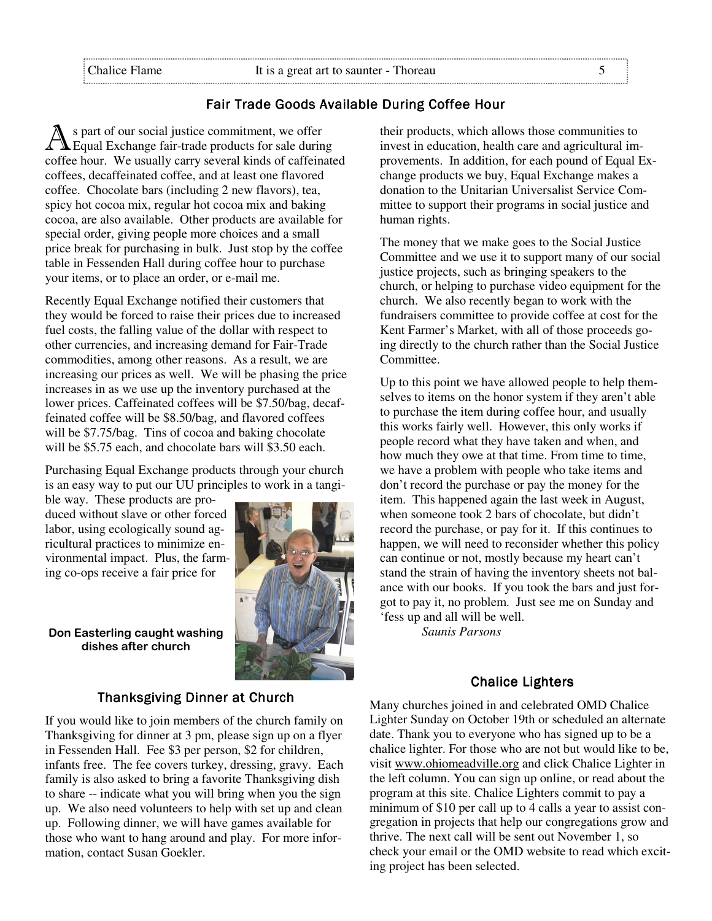# Fair Trade Goods Available During Coffee Hour

A s part of our social justice commitment, we offer<br>A Equal Exchange fair-trade products for sale during coffee hour. We usually carry several kinds of caffeinated coffees, decaffeinated coffee, and at least one flavored coffee. Chocolate bars (including 2 new flavors), tea, spicy hot cocoa mix, regular hot cocoa mix and baking cocoa, are also available. Other products are available for special order, giving people more choices and a small price break for purchasing in bulk. Just stop by the coffee table in Fessenden Hall during coffee hour to purchase your items, or to place an order, or e-mail me.

Recently Equal Exchange notified their customers that they would be forced to raise their prices due to increased fuel costs, the falling value of the dollar with respect to other currencies, and increasing demand for Fair-Trade commodities, among other reasons. As a result, we are increasing our prices as well. We will be phasing the price increases in as we use up the inventory purchased at the lower prices. Caffeinated coffees will be \$7.50/bag, decaffeinated coffee will be \$8.50/bag, and flavored coffees will be \$7.75/bag. Tins of cocoa and baking chocolate will be \$5.75 each, and chocolate bars will \$3.50 each.

Purchasing Equal Exchange products through your church is an easy way to put our UU principles to work in a tangi-

ble way. These products are produced without slave or other forced labor, using ecologically sound agricultural practices to minimize environmental impact. Plus, the farming co-ops receive a fair price for

Don Easterling caught washing dishes after church



If you would like to join members of the church family on Thanksgiving for dinner at 3 pm, please sign up on a flyer in Fessenden Hall. Fee \$3 per person, \$2 for children, infants free. The fee covers turkey, dressing, gravy. Each family is also asked to bring a favorite Thanksgiving dish to share -- indicate what you will bring when you the sign up. We also need volunteers to help with set up and clean up. Following dinner, we will have games available for those who want to hang around and play. For more information, contact Susan Goekler.

their products, which allows those communities to invest in education, health care and agricultural improvements. In addition, for each pound of Equal Exchange products we buy, Equal Exchange makes a donation to the Unitarian Universalist Service Committee to support their programs in social justice and human rights.

The money that we make goes to the Social Justice Committee and we use it to support many of our social justice projects, such as bringing speakers to the church, or helping to purchase video equipment for the church. We also recently began to work with the fundraisers committee to provide coffee at cost for the Kent Farmer's Market, with all of those proceeds going directly to the church rather than the Social Justice Committee.

Up to this point we have allowed people to help themselves to items on the honor system if they aren't able to purchase the item during coffee hour, and usually this works fairly well. However, this only works if people record what they have taken and when, and how much they owe at that time. From time to time, we have a problem with people who take items and don't record the purchase or pay the money for the item. This happened again the last week in August, when someone took 2 bars of chocolate, but didn't record the purchase, or pay for it. If this continues to happen, we will need to reconsider whether this policy can continue or not, mostly because my heart can't stand the strain of having the inventory sheets not balance with our books. If you took the bars and just forgot to pay it, no problem. Just see me on Sunday and 'fess up and all will be well.

*Saunis Parsons* 

#### **Chalice Lighters**

Many churches joined in and celebrated OMD Chalice Lighter Sunday on October 19th or scheduled an alternate date. Thank you to everyone who has signed up to be a chalice lighter. For those who are not but would like to be, visit www.ohiomeadville.org and click Chalice Lighter in the left column. You can sign up online, or read about the program at this site. Chalice Lighters commit to pay a minimum of \$10 per call up to 4 calls a year to assist congregation in projects that help our congregations grow and thrive. The next call will be sent out November 1, so check your email or the OMD website to read which exciting project has been selected.

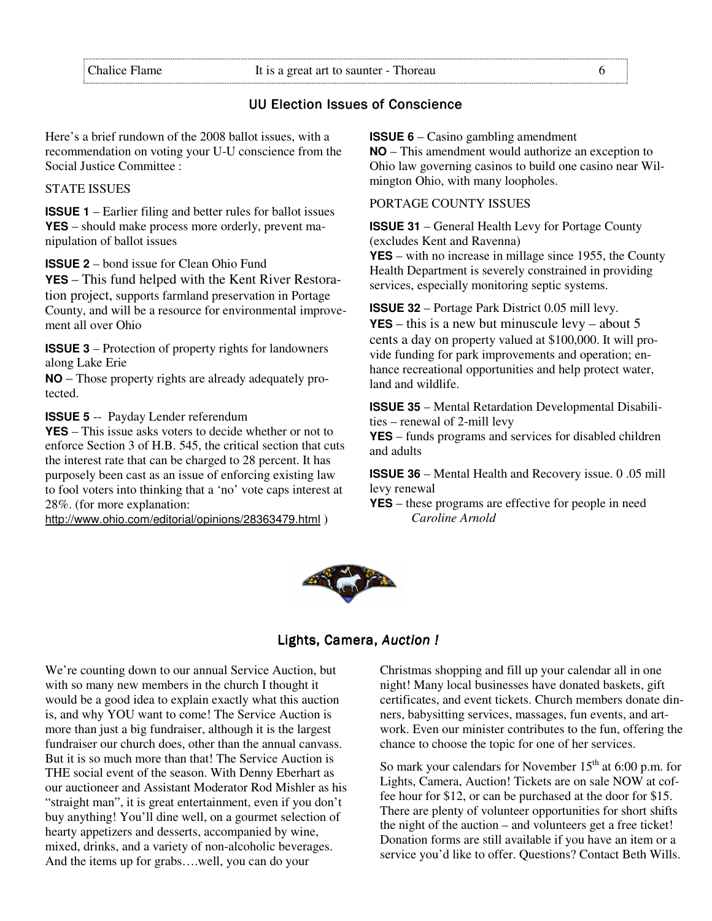# UU Election Issues of Conscience

Here's a brief rundown of the 2008 ballot issues, with a recommendation on voting your U-U conscience from the Social Justice Committee :

STATE ISSUES

**ISSUE 1** – Earlier filing and better rules for ballot issues **YES** – should make process more orderly, prevent manipulation of ballot issues

**ISSUE 2** – bond issue for Clean Ohio Fund **YES** – This fund helped with the Kent River Restoration project, supports farmland preservation in Portage County, and will be a resource for environmental improvement all over Ohio

**ISSUE 3** – Protection of property rights for landowners along Lake Erie

**NO** – Those property rights are already adequately protected.

**ISSUE 5** -- Payday Lender referendum

**YES** – This issue asks voters to decide whether or not to enforce Section 3 of H.B. 545, the critical section that cuts the interest rate that can be charged to 28 percent. It has purposely been cast as an issue of enforcing existing law to fool voters into thinking that a 'no' vote caps interest at 28%. (for more explanation:

http://www.ohio.com/editorial/opinions/28363479.html )

**ISSUE 6** – Casino gambling amendment

**NO** – This amendment would authorize an exception to Ohio law governing casinos to build one casino near Wilmington Ohio, with many loopholes.

## PORTAGE COUNTY ISSUES

**ISSUE 31** – General Health Levy for Portage County (excludes Kent and Ravenna)

**YES** – with no increase in millage since 1955, the County Health Department is severely constrained in providing services, especially monitoring septic systems.

**ISSUE 32** – Portage Park District 0.05 mill levy. **YES** – this is a new but minuscule levy – about 5 cents a day on property valued at \$100,000. It will provide funding for park improvements and operation; enhance recreational opportunities and help protect water, land and wildlife.

**ISSUE 35** – Mental Retardation Developmental Disabilities – renewal of 2-mill levy

**YES** – funds programs and services for disabled children and adults

**ISSUE 36** – Mental Health and Recovery issue. 0 .05 mill levy renewal

**YES** – these programs are effective for people in need *Caroline Arnold* 



# Lights, Camera, Auction !

We're counting down to our annual Service Auction, but with so many new members in the church I thought it would be a good idea to explain exactly what this auction is, and why YOU want to come! The Service Auction is more than just a big fundraiser, although it is the largest fundraiser our church does, other than the annual canvass. But it is so much more than that! The Service Auction is THE social event of the season. With Denny Eberhart as our auctioneer and Assistant Moderator Rod Mishler as his "straight man", it is great entertainment, even if you don't buy anything! You'll dine well, on a gourmet selection of hearty appetizers and desserts, accompanied by wine, mixed, drinks, and a variety of non-alcoholic beverages. And the items up for grabs….well, you can do your

Christmas shopping and fill up your calendar all in one night! Many local businesses have donated baskets, gift certificates, and event tickets. Church members donate dinners, babysitting services, massages, fun events, and artwork. Even our minister contributes to the fun, offering the chance to choose the topic for one of her services.

So mark your calendars for November  $15<sup>th</sup>$  at 6:00 p.m. for Lights, Camera, Auction! Tickets are on sale NOW at coffee hour for \$12, or can be purchased at the door for \$15. There are plenty of volunteer opportunities for short shifts the night of the auction – and volunteers get a free ticket! Donation forms are still available if you have an item or a service you'd like to offer. Questions? Contact Beth Wills.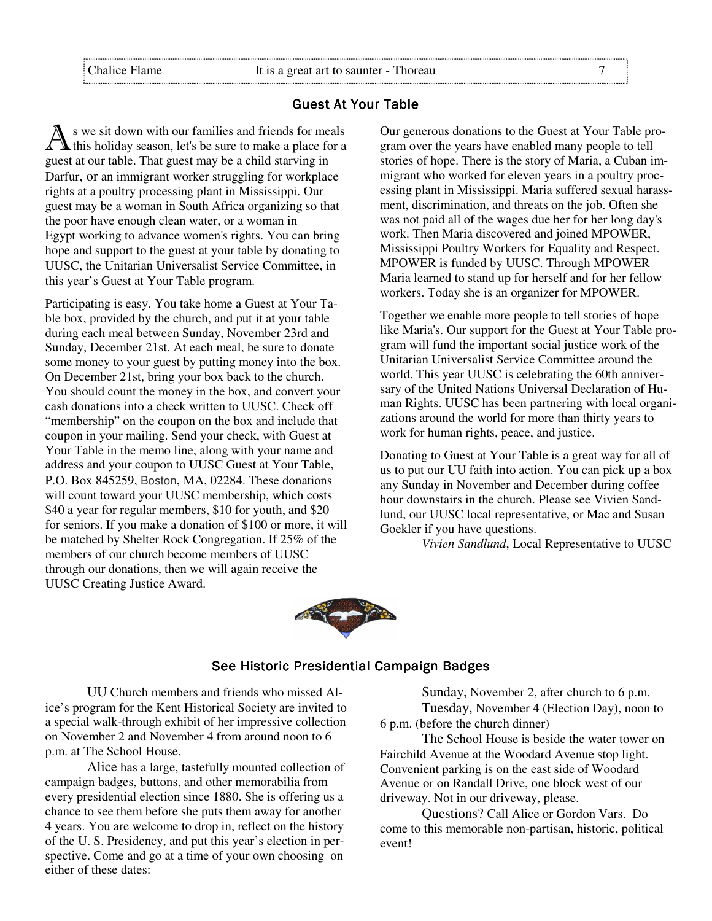## **Guest At Your Table**

A s we sit down with our families and friends for meals<br>
this holiday season, let's be sure to make a place for a guest at our table. That guest may be a child starving in Darfur, or an immigrant worker struggling for workplace rights at a poultry processing plant in Mississippi. Our guest may be a woman in South Africa organizing so that the poor have enough clean water, or a woman in Egypt working to advance women's rights. You can bring hope and support to the guest at your table by donating to UUSC, the Unitarian Universalist Service Committee, in this year's Guest at Your Table program.

Participating is easy. You take home a Guest at Your Table box, provided by the church, and put it at your table during each meal between Sunday, November 23rd and Sunday, December 21st. At each meal, be sure to donate some money to your guest by putting money into the box. On December 21st, bring your box back to the church. You should count the money in the box, and convert your cash donations into a check written to UUSC. Check off "membership" on the coupon on the box and include that coupon in your mailing. Send your check, with Guest at Your Table in the memo line, along with your name and address and your coupon to UUSC Guest at Your Table, P.O. Box 845259, Boston, MA, 02284. These donations will count toward your UUSC membership, which costs \$40 a year for regular members, \$10 for youth, and \$20 for seniors. If you make a donation of \$100 or more, it will be matched by Shelter Rock Congregation. If 25% of the members of our church become members of UUSC through our donations, then we will again receive the UUSC Creating Justice Award.

Our generous donations to the Guest at Your Table program over the years have enabled many people to tell stories of hope. There is the story of Maria, a Cuban immigrant who worked for eleven years in a poultry processing plant in Mississippi. Maria suffered sexual harassment, discrimination, and threats on the job. Often she was not paid all of the wages due her for her long day's work. Then Maria discovered and joined MPOWER, Mississippi Poultry Workers for Equality and Respect. MPOWER is funded by UUSC. Through MPOWER Maria learned to stand up for herself and for her fellow workers. Today she is an organizer for MPOWER.

Together we enable more people to tell stories of hope like Maria's. Our support for the Guest at Your Table program will fund the important social justice work of the Unitarian Universalist Service Committee around the world. This year UUSC is celebrating the 60th anniversary of the United Nations Universal Declaration of Human Rights. UUSC has been partnering with local organizations around the world for more than thirty years to work for human rights, peace, and justice.

Donating to Guest at Your Table is a great way for all of us to put our UU faith into action. You can pick up a box any Sunday in November and December during coffee hour downstairs in the church. Please see Vivien Sandlund, our UUSC local representative, or Mac and Susan Goekler if you have questions.

*Vivien Sandlund*, Local Representative to UUSC



# See Historic Presidential Campaign Badges

UU Church members and friends who missed Alice's program for the Kent Historical Society are invited to a special walk-through exhibit of her impressive collection on November 2 and November 4 from around noon to 6 p.m. at The School House.

Alice has a large, tastefully mounted collection of campaign badges, buttons, and other memorabilia from every presidential election since 1880. She is offering us a chance to see them before she puts them away for another 4 years. You are welcome to drop in, reflect on the history of the U. S. Presidency, and put this year's election in perspective. Come and go at a time of your own choosing on either of these dates:

Sunday, November 2, after church to 6 p.m. Tuesday, November 4 (Election Day), noon to 6 p.m. (before the church dinner)

The School House is beside the water tower on Fairchild Avenue at the Woodard Avenue stop light. Convenient parking is on the east side of Woodard Avenue or on Randall Drive, one block west of our driveway. Not in our driveway, please.

Questions? Call Alice or Gordon Vars. Do come to this memorable non-partisan, historic, political event!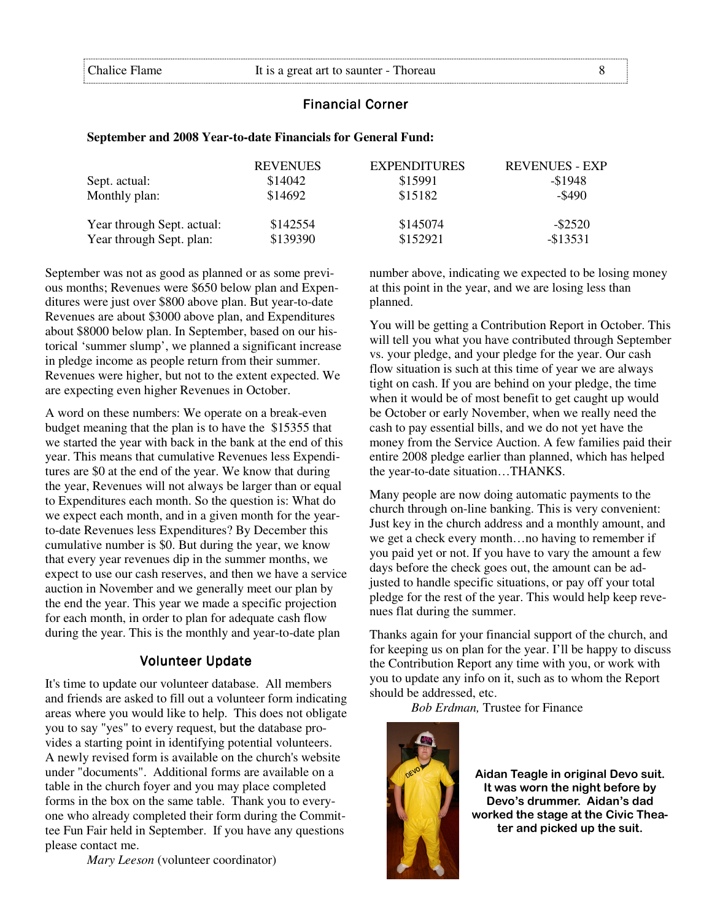#### **Financial Corner**

#### **September and 2008 Year-to-date Financials for General Fund:**

|                            | <b>REVENUES</b> | <b>EXPENDITURES</b> | <b>REVENUES - EXP</b> |
|----------------------------|-----------------|---------------------|-----------------------|
| Sept. actual:              | \$14042         | \$15991             | $-$1948$              |
| Monthly plan:              | \$14692         | \$15182             | $-\$490$              |
| Year through Sept. actual: | \$142554        | \$145074            | $-$ \$2520            |
| Year through Sept. plan:   | \$139390        | \$152921            | $-$ \$13531           |

September was not as good as planned or as some previous months; Revenues were \$650 below plan and Expenditures were just over \$800 above plan. But year-to-date Revenues are about \$3000 above plan, and Expenditures about \$8000 below plan. In September, based on our historical 'summer slump', we planned a significant increase in pledge income as people return from their summer. Revenues were higher, but not to the extent expected. We are expecting even higher Revenues in October.

A word on these numbers: We operate on a break-even budget meaning that the plan is to have the \$15355 that we started the year with back in the bank at the end of this year. This means that cumulative Revenues less Expenditures are \$0 at the end of the year. We know that during the year, Revenues will not always be larger than or equal to Expenditures each month. So the question is: What do we expect each month, and in a given month for the yearto-date Revenues less Expenditures? By December this cumulative number is \$0. But during the year, we know that every year revenues dip in the summer months, we expect to use our cash reserves, and then we have a service auction in November and we generally meet our plan by the end the year. This year we made a specific projection for each month, in order to plan for adequate cash flow during the year. This is the monthly and year-to-date plan

## **Volunteer Update**

It's time to update our volunteer database. All members and friends are asked to fill out a volunteer form indicating areas where you would like to help. This does not obligate you to say "yes" to every request, but the database provides a starting point in identifying potential volunteers. A newly revised form is available on the church's website under "documents". Additional forms are available on a table in the church foyer and you may place completed forms in the box on the same table. Thank you to everyone who already completed their form during the Committee Fun Fair held in September. If you have any questions please contact me.

*Mary Leeson* (volunteer coordinator)

number above, indicating we expected to be losing money at this point in the year, and we are losing less than planned.

You will be getting a Contribution Report in October. This will tell you what you have contributed through September vs. your pledge, and your pledge for the year. Our cash flow situation is such at this time of year we are always tight on cash. If you are behind on your pledge, the time when it would be of most benefit to get caught up would be October or early November, when we really need the cash to pay essential bills, and we do not yet have the money from the Service Auction. A few families paid their entire 2008 pledge earlier than planned, which has helped the year-to-date situation…THANKS.

Many people are now doing automatic payments to the church through on-line banking. This is very convenient: Just key in the church address and a monthly amount, and we get a check every month…no having to remember if you paid yet or not. If you have to vary the amount a few days before the check goes out, the amount can be adjusted to handle specific situations, or pay off your total pledge for the rest of the year. This would help keep revenues flat during the summer.

Thanks again for your financial support of the church, and for keeping us on plan for the year. I'll be happy to discuss the Contribution Report any time with you, or work with you to update any info on it, such as to whom the Report should be addressed, etc.

 *Bob Erdman,* Trustee for Finance



Aidan Teagle in original Devo suit. It was worn the night before by Devo's drummer. Aidan's dad worked the stage at the Civic Theater and picked up the suit.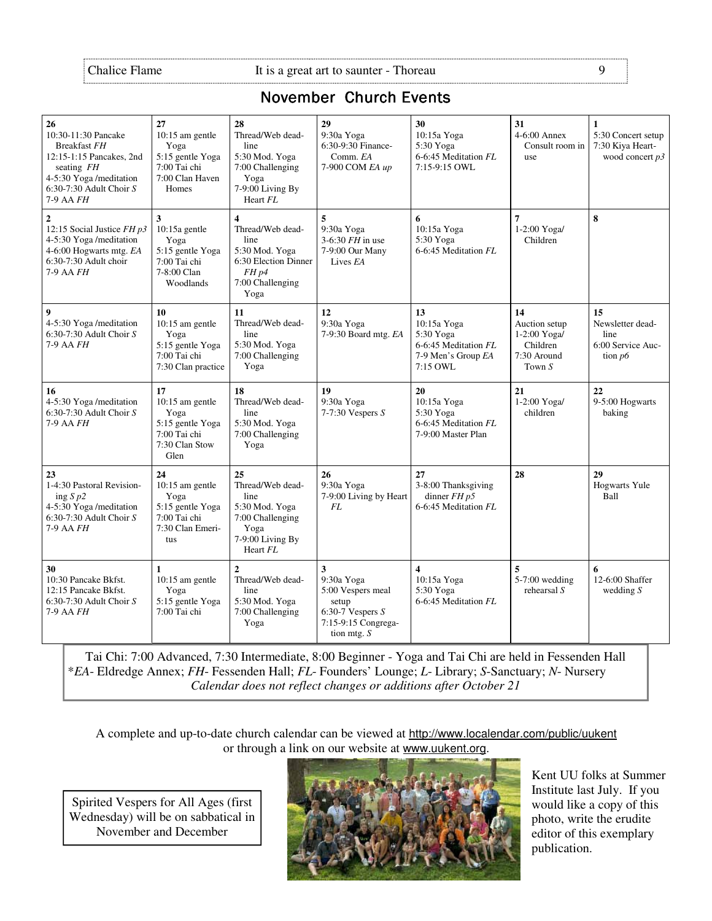# **November Church Events**

| 26<br>10:30-11:30 Pancake<br>Breakfast FH<br>12:15-1:15 Pancakes, 2nd<br>seating $FH$<br>4-5:30 Yoga /meditation<br>6:30-7:30 Adult Choir $S$<br>7-9 AA FH | 27<br>$10:15$ am gentle<br>Yoga<br>5:15 gentle Yoga<br>7:00 Tai chi<br>7:00 Clan Haven<br>Homes | 28<br>Thread/Web dead-<br>line<br>5:30 Mod. Yoga<br>7:00 Challenging<br>Yoga<br>7-9:00 Living By<br>Heart FL                                  | 29<br>9:30a Yoga<br>6:30-9:30 Finance-<br>Comm. EA<br>7-900 COM EA up                                       | 30<br>10:15a Yoga<br>5:30 Yoga<br>6-6:45 Meditation FL<br>7:15-9:15 OWL                  | 31<br>$4-6:00$ Annex<br>Consult room in<br>use                             | $\mathbf{1}$<br>5:30 Concert setup<br>7:30 Kiya Heart-<br>wood concert $p3$ |
|------------------------------------------------------------------------------------------------------------------------------------------------------------|-------------------------------------------------------------------------------------------------|-----------------------------------------------------------------------------------------------------------------------------------------------|-------------------------------------------------------------------------------------------------------------|------------------------------------------------------------------------------------------|----------------------------------------------------------------------------|-----------------------------------------------------------------------------|
| $\overline{2}$<br>12:15 Social Justice $FH$ $p3$<br>4-5:30 Yoga /meditation<br>4-6:00 Hogwarts mtg. EA<br>6:30-7:30 Adult choir<br>7-9 AA <i>FH</i>        | 3<br>$10:15a$ gentle<br>Yoga<br>5:15 gentle Yoga<br>7:00 Tai chi<br>7-8:00 Clan<br>Woodlands    | $\overline{\mathbf{4}}$<br>Thread/Web dead-<br>line<br>5:30 Mod. Yoga<br>6:30 Election Dinner<br>FH <sub>p4</sub><br>7:00 Challenging<br>Yoga | 5<br>9:30a Yoga<br>$3-6:30$ FH in use<br>7-9:00 Our Many<br>Lives EA                                        | 6<br>10:15a Yoga<br>5:30 Yoga<br>6-6:45 Meditation FL                                    | $\overline{7}$<br>1-2:00 Yoga/<br>Children                                 | 8                                                                           |
| 9<br>4-5:30 Yoga /meditation<br>$6:30-7:30$ Adult Choir S<br>$7-9$ AA $FH$                                                                                 | 10<br>10:15 am gentle<br>Yoga<br>5:15 gentle Yoga<br>7:00 Tai chi<br>7:30 Clan practice         | 11<br>Thread/Web dead-<br>line<br>5:30 Mod. Yoga<br>7:00 Challenging<br>Yoga                                                                  | 12<br>9:30a Yoga<br>7-9:30 Board mtg. EA                                                                    | 13<br>10:15a Yoga<br>5:30 Yoga<br>6-6:45 Meditation FL<br>7-9 Men's Group EA<br>7:15 OWL | 14<br>Auction setup<br>1-2:00 Yoga/<br>Children<br>7:30 Around<br>Town $S$ | 15<br>Newsletter dead-<br>line<br>6:00 Service Auc-<br>tion $p6$            |
| 16<br>4-5:30 Yoga /meditation<br>$6:30-7:30$ Adult Choir S<br>7-9 AA FH                                                                                    | 17<br>10:15 am gentle<br>Yoga<br>5:15 gentle Yoga<br>7:00 Tai chi<br>7:30 Clan Stow<br>Glen     | 18<br>Thread/Web dead-<br>line<br>5:30 Mod. Yoga<br>7:00 Challenging<br>Yoga                                                                  | 19<br>9:30a Yoga<br>$7-7:30$ Vespers $S$                                                                    | 20<br>10:15a Yoga<br>5:30 Yoga<br>6-6:45 Meditation FL<br>7-9:00 Master Plan             | 21<br>1-2:00 Yoga/<br>children                                             | 22<br>9-5:00 Hogwarts<br>baking                                             |
| 23<br>1-4:30 Pastoral Revision-<br>ing $S$ $p2$<br>4-5:30 Yoga /meditation<br>$6:30-7:30$ Adult Choir S<br>7-9 AA <i>FH</i>                                | 24<br>10:15 am gentle<br>Yoga<br>5:15 gentle Yoga<br>7:00 Tai chi<br>7:30 Clan Emeri-<br>tus    | 25<br>Thread/Web dead-<br>line<br>5:30 Mod. Yoga<br>7:00 Challenging<br>Yoga<br>7-9:00 Living By<br>Heart FL                                  | 26<br>9:30a Yoga<br>7-9:00 Living by Heart<br><b>FL</b>                                                     | 27<br>3-8:00 Thanksgiving<br>dinner $FH$ $p5$<br>6-6:45 Meditation FL                    | 28                                                                         | 29<br><b>Hogwarts Yule</b><br>Ball                                          |
| 30<br>10:30 Pancake Bkfst.<br>12:15 Pancake Bkfst.<br>$6:30-7:30$ Adult Choir S<br>7-9 AA FH                                                               | 1<br>10:15 am gentle<br>Yoga<br>5:15 gentle Yoga<br>7:00 Tai chi                                | $\mathbf{2}$<br>Thread/Web dead-<br>line<br>5:30 Mod. Yoga<br>7:00 Challenging<br>Yoga                                                        | 3<br>9:30a Yoga<br>5:00 Vespers meal<br>setup<br>6:30-7 Vespers $S$<br>7:15-9:15 Congrega-<br>tion mtg. $S$ | $\overline{\mathbf{4}}$<br>10:15a Yoga<br>5:30 Yoga<br>6-6:45 Meditation FL              | 5<br>$5-7:00$ wedding<br>rehearsal $S$                                     | 6<br>12-6:00 Shaffer<br>wedding $S$                                         |

Tai Chi: 7:00 Advanced, 7:30 Intermediate, 8:00 Beginner - Yoga and Tai Chi are held in Fessenden Hall \**EA*- Eldredge Annex; *FH*- Fessenden Hall; *FL*- Founders' Lounge; *L*- Library; *S*-Sanctuary; *N*- Nursery *Calendar does not reflect changes or additions after October 21*

A complete and up-to-date church calendar can be viewed at http://www.localendar.com/public/uukent or through a link on our website at www.uukent.org.

Spirited Vespers for All Ages (first Wednesday) will be on sabbatical in November and December



Kent UU folks at Summer Institute last July. If you would like a copy of this photo, write the erudite editor of this exemplary publication.